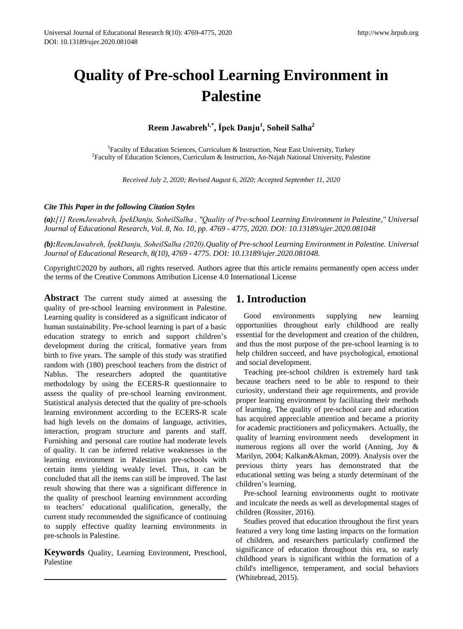# **Quality of Pre-school Learning Environment in Palestine**

**Reem Jawabreh1,\*, İpek Danju<sup>1</sup> , Soheil Salha2**

<sup>1</sup>Faculty of Education Sciences, Curriculum & Instruction, Near East University, Turkey Faculty of Education Sciences, Curriculum & Instruction, Near East University, Turkey<sup>2</sup> Faculty of Education Sciences, Curriculum & Instruction, An-Najah National University, Palestine

*Received July 2, 2020; Revised August 6, 2020; Accepted September 11, 2020*

### *Cite This Paper in the following Citation Styles*

*(a):[1] ReemJawabreh, İpekDanju, SoheilSalha , "Quality of Pre-school Learning Environment in Palestine," Universal Journal of Educational Research, Vol. 8, No. 10, pp. 4769 - 4775, 2020. DOI: 10.13189/ujer.2020.081048*

*(b):ReemJawabreh, İpekDanju, SoheilSalha (2020).Quality of Pre-school Learning Environment in Palestine. Universal Journal of Educational Research, 8(10), 4769 - 4775. DOI: 10.13189/ujer.2020.081048.* 

Copyright©2020 by authors, all rights reserved. Authors agree that this article remains permanently open access under the terms of the Creative Commons Attribution License 4.0 International License

**Abstract** The current study aimed at assessing the quality of pre-school learning environment in Palestine. Learning quality is considered as a significant indicator of human sustainability. Pre-school learning is part of a basic education strategy to enrich and support children's development during the critical, formative years from birth to five years. The sample of this study was stratified random with (180) preschool teachers from the district of Nablus. The researchers adopted the quantitative methodology by using the ECERS-R questionnaire to assess the quality of pre-school learning environment. Statistical analysis detected that the quality of pre-schools learning environment according to the ECERS-R scale had high levels on the domains of language, activities, interaction, program structure and parents and staff. Furnishing and personal care routine had moderate levels of quality. It can be inferred relative weaknesses in the learning environment in Palestinian pre-schools with certain items yielding weakly level. Thus, it can be concluded that all the items can still be improved. The last result showing that there was a significant difference in the quality of preschool learning environment according to teachers' educational qualification, generally, the current study recommended the significance of continuing to supply effective quality learning environments in pre-schools in Palestine.

**Keywords** Quality, Learning Environment, Preschool, Palestine

# **1. Introduction**

Good environments supplying new learning opportunities throughout early childhood are really essential for the development and creation of the children, and thus the most purpose of the pre-school learning is to help children succeed, and have psychological, emotional and social development.

Teaching pre-school children is extremely hard task because teachers need to be able to respond to their curiosity, understand their age requirements, and provide proper learning environment by facilitating their methods of learning. The quality of pre-school care and education has acquired appreciable attention and became a priority for academic practitioners and policymakers. Actually, the quality of learning environment needs development in numerous regions all over the world (Anning, Joy & Marilyn, 2004; Kalkan&Akman, 2009). Analysis over the previous thirty years has demonstrated that the educational setting was being a sturdy determinant of the children's learning.

Pre-school learning environments ought to motivate and inculcate the needs as well as developmental stages of children (Rossiter, 2016).

Studies proved that education throughout the first years featured a very long time lasting impacts on the formation of children, and researchers particularly confirmed the significance of education throughout this era, so early childhood years is significant within the formation of a child's intelligence, temperament, and social behaviors (Whitebread, 2015).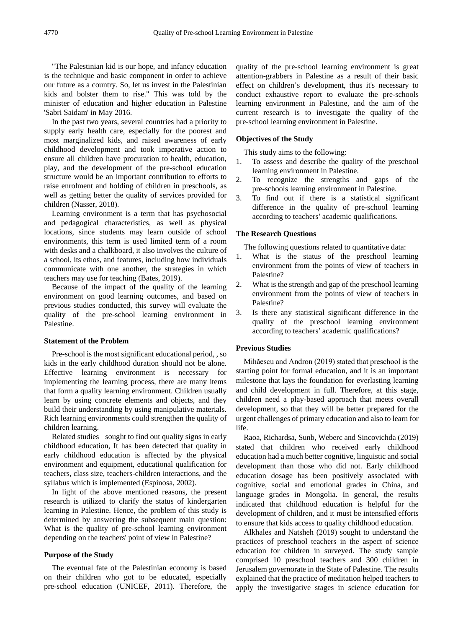"The Palestinian kid is our hope, and infancy education is the technique and basic component in order to achieve our future as a country. So, let us invest in the Palestinian kids and bolster them to rise." This was told by the minister of education and higher education in Palestine 'Sabri Saidam' in May 2016.

In the past two years, several countries had a priority to supply early health care, especially for the poorest and most marginalized kids, and raised awareness of early childhood development and took imperative action to ensure all children have procuration to health, education, play, and the development of the pre-school education structure would be an important contribution to efforts to raise enrolment and holding of children in preschools, as well as getting better the quality of services provided for children (Nasser, 2018).

Learning environment is a term that has psychosocial and pedagogical characteristics, as well as physical locations, since students may learn outside of school environments, this term is used limited term of a room with desks and a chalkboard, it also involves the culture of a school, its ethos, and features, including how individuals communicate with one another, the strategies in which teachers may use for teaching (Bates, 2019).

Because of the impact of the quality of the learning environment on good learning outcomes, and based on previous studies conducted, this survey will evaluate the quality of the pre-school learning environment in Palestine.

#### **Statement of the Problem**

Pre-school is the most significant educational period, , so kids in the early childhood duration should not be alone. Effective learning environment is necessary for implementing the learning process, there are many items that form a quality learning environment. Children usually learn by using concrete elements and objects, and they build their understanding by using manipulative materials. Rich learning environments could strengthen the quality of children learning.

Related studies sought to find out quality signs in early childhood education, It has been detected that quality in early childhood education is affected by the physical environment and equipment, educational qualification for teachers, class size, teachers-children interactions, and the syllabus which is implemented (Espinosa, 2002).

In light of the above mentioned reasons, the present research is utilized to clarify the status of kindergarten learning in Palestine. Hence, the problem of this study is determined by answering the subsequent main question: What is the quality of pre-school learning environment depending on the teachers' point of view in Palestine?

#### **Purpose of the Study**

The eventual fate of the Palestinian economy is based on their children who got to be educated, especially pre-school education (UNICEF, 2011). Therefore, the

quality of the pre-school learning environment is great attention-grabbers in Palestine as a result of their basic effect on children's development, thus it's necessary to conduct exhaustive report to evaluate the pre-schools learning environment in Palestine, and the aim of the current research is to investigate the quality of the pre-school learning environment in Palestine.

#### **Objectives of the Study**

This study aims to the following:

- 1. To assess and describe the quality of the preschool learning environment in Palestine.
- 2. To recognize the strengths and gaps of the pre-schools learning environment in Palestine.
- 3. To find out if there is a statistical significant difference in the quality of pre-school learning according to teachers' academic qualifications.

#### **The Research Questions**

The following questions related to quantitative data:

- 1. What is the status of the preschool learning environment from the points of view of teachers in Palestine?
- 2. What is the strength and gap of the preschool learning environment from the points of view of teachers in Palestine?
- 3. Is there any statistical significant difference in the quality of the preschool learning environment according to teachers' academic qualifications?

#### **Previous Studies**

Mihăescu and Andron (2019) stated that preschool is the starting point for formal education, and it is an important milestone that lays the foundation for everlasting learning and child development in full. Therefore, at this stage, children need a play-based approach that meets overall development, so that they will be better prepared for the urgent challenges of primary education and also to learn for life.

Raoa, Richardsa, Sunb, Weberc and Sincovichda (2019) stated that children who received early childhood education had a much better cognitive, linguistic and social development than those who did not. Early childhood education dosage has been positively associated with cognitive, social and emotional grades in China, and language grades in Mongolia. In general, the results indicated that childhood education is helpful for the development of children, and it must be intensified efforts to ensure that kids access to quality childhood education.

Alkhales and Natsheh (2019) sought to understand the practices of preschool teachers in the aspect of science education for children in surveyed. The study sample comprised 10 preschool teachers and 300 children in Jerusalem governorate in the State of Palestine. The results explained that the practice of meditation helped teachers to apply the investigative stages in science education for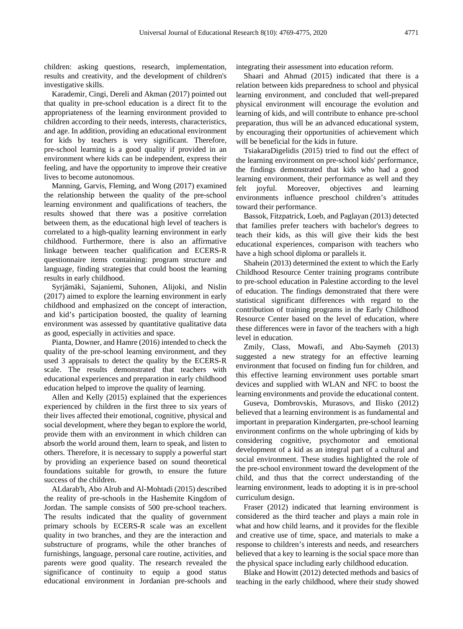children: asking questions, research, implementation, results and creativity, and the development of children's investigative skills.

Karademir, Cingi, Dereli and Akman (2017) pointed out that quality in pre-school education is a direct fit to the appropriateness of the learning environment provided to children according to their needs, interests, characteristics, and age. In addition, providing an educational environment for kids by teachers is very significant. Therefore, pre-school learning is a good quality if provided in an environment where kids can be independent, express their feeling, and have the opportunity to improve their creative lives to become autonomous.

Manning, Garvis, Fleming, and Wong (2017) examined the relationship between the quality of the pre-school learning environment and qualifications of teachers, the results showed that there was a positive correlation between them, as the educational high level of teachers is correlated to a high-quality learning environment in early childhood. Furthermore, there is also an affirmative linkage between teacher qualification and ECERS-R questionnaire items containing: program structure and language, finding strategies that could boost the learning results in early childhood.

Syrjämäki, Sajaniemi, Suhonen, Alijoki, and Nislin (2017) aimed to explore the learning environment in early childhood and emphasized on the concept of interaction, and kid's participation boosted, the quality of learning environment was assessed by quantitative qualitative data as good, especially in activities and space.

Pianta, Downer, and Hamre (2016) intended to check the quality of the pre-school learning environment, and they used 3 appraisals to detect the quality by the ECERS-R scale. The results demonstrated that teachers with educational experiences and preparation in early childhood education helped to improve the quality of learning.

Allen and Kelly (2015) explained that the experiences experienced by children in the first three to six years of their lives affected their emotional, cognitive, physical and social development, where they began to explore the world, provide them with an environment in which children can absorb the world around them, learn to speak, and listen to others. Therefore, it is necessary to supply a powerful start by providing an experience based on sound theoretical foundations suitable for growth, to ensure the future success of the children.

ALdarab'h, Abo Alrub and Al-Mohtadi (2015) described the reality of pre-schools in the Hashemite Kingdom of Jordan. The sample consists of 500 pre-school teachers. The results indicated that the quality of government primary schools by ECERS-R scale was an excellent quality in two branches, and they are the interaction and substructure of programs, while the other branches of furnishings, language, personal care routine, activities, and parents were good quality. The research revealed the significance of continuity to equip a good status educational environment in Jordanian pre-schools and

integrating their assessment into education reform.

Shaari and Ahmad (2015) indicated that there is a relation between kids preparedness to school and physical learning environment, and concluded that well-prepared physical environment will encourage the evolution and learning of kids, and will contribute to enhance pre-school preparation, thus will be an advanced educational system, by encouraging their opportunities of achievement which will be beneficial for the kids in future.

TsiakaraDigelidis (2015) tried to find out the effect of the learning environment on pre-school kids' performance, the findings demonstrated that kids who had a good learning environment, their performance as well and they felt joyful. Moreover, objectives and learning environments influence preschool children's attitudes toward their performance.

Bassok, Fitzpatrick, Loeb, and Paglayan (2013) detected that families prefer teachers with bachelor's degrees to teach their kids, as this will give their kids the best educational experiences, comparison with teachers who have a high school diploma or parallels it.

Shahein (2013) determined the extent to which the Early Childhood Resource Center training programs contribute to pre-school education in Palestine according to the level of education. The findings demonstrated that there were statistical significant differences with regard to the contribution of training programs in the Early Childhood Resource Center based on the level of education, where these differences were in favor of the teachers with a high level in education.

Zmily, Class, Mowafi, and Abu-Saymeh (2013) suggested a new strategy for an effective learning environment that focused on finding fun for children, and this effective learning environment uses portable smart devices and supplied with WLAN and NFC to boost the learning environments and provide the educational content.

Guseva, Dombrovskis, Murasovs, and Ilisko (2012) believed that a learning environment is as fundamental and important in preparation Kindergarten, pre-school learning environment confirms on the whole upbringing of kids by considering cognitive, psychomotor and emotional development of a kid as an integral part of a cultural and social environment. These studies highlighted the role of the pre-school environment toward the development of the child, and thus that the correct understanding of the learning environment, leads to adopting it is in pre-school curriculum design.

Fraser (2012) indicated that learning environment is considered as the third teacher and plays a main role in what and how child learns, and it provides for the flexible and creative use of time, space, and materials to make a response to children's interests and needs, and researchers believed that a key to learning is the social space more than the physical space including early childhood education.

Blake and Howitt (2012) detected methods and basics of teaching in the early childhood, where their study showed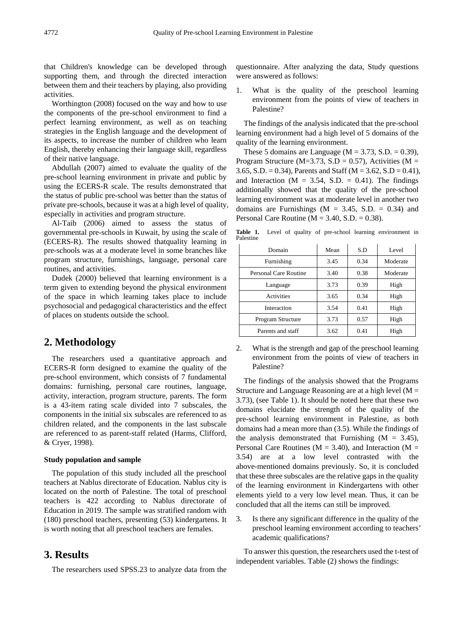that Children's knowledge can be developed through supporting them, and through the directed interaction between them and their teachers by playing, also providing activities.

Worthington (2008) focused on the way and how to use the components of the pre-school environment to find a perfect learning environment, as well as on teaching strategies in the English language and the development of its aspects, to increase the number of children who learn English, thereby enhancing their language skill, regardless of their native language.

Abdullah (2007) aimed to evaluate the quality of the pre-school learning environment in private and public by using the ECERS-R scale. The results demonstrated that the status of public pre-school was better than the status of private pre-schools, because it was at a high level of quality, especially in activities and program structure.

Al-Taib (2006) aimed to assess the status of governmental pre-schools in Kuwait, by using the scale of (ECERS-R). The results showed thatquality learning in pre-schools was at a moderate level in some branches like program structure, furnishings, language, personal care routines, and activities.

Dudek (2000) believed that learning environment is a term given to extending beyond the physical environment of the space in which learning takes place to include psychosocial and pedagogical characteristics and the effect of places on students outside the school.

# **2. Methodology**

The researchers used a quantitative approach and ECERS-R form designed to examine the quality of the pre-school environment, which consists of 7 fundamental domains: furnishing, personal care routines, language, activity, interaction, program structure, parents. The form is a 43-item rating scale divided into 7 subscales, the components in the initial six subscales are referenced to as children related, and the components in the last subscale are referenced to as parent-staff related (Harms, Clifford, & Cryer, 1998).

#### **Study population and sample**

The population of this study included all the preschool teachers at Nablus directorate of Education. Nablus city is located on the north of Palestine. The total of preschool teachers is 422 according to Nablus directorate of Education in 2019. The sample was stratified random with (180) preschool teachers, presenting (53) kindergartens. It is worth noting that all preschool teachers are females.

## **3. Results**

The researchers used SPSS.23 to analyze data from the

questionnaire. After analyzing the data, Study questions were answered as follows:

1. What is the quality of the preschool learning environment from the points of view of teachers in Palestine?

The findings of the analysis indicated that the pre-school learning environment had a high level of 5 domains of the quality of the learning environment.

These 5 domains are Language ( $M = 3.73$ , S.D. = 0.39), Program Structure (M=3.73, S.D = 0.57), Activities (M = 3.65, S.D. = 0.34), Parents and Staff ( $M = 3.62$ , S.D = 0.41), and Interaction ( $M = 3.54$ , S.D. = 0.41). The findings additionally showed that the quality of the pre-school learning environment was at moderate level in another two domains are Furnishings  $(M = 3.45, S.D. = 0.34)$  and Personal Care Routine ( $M = 3.40$ , S.D. = 0.38).

Table 1. Level of quality of pre-school learning environment in Palestine

| Domain                | Mean | S.D  | Level    |  |
|-----------------------|------|------|----------|--|
| Furnishing            | 3.45 | 0.34 | Moderate |  |
| Personal Care Routine | 3.40 | 0.38 | Moderate |  |
| Language              | 3.73 | 0.39 | High     |  |
| Activities            | 3.65 | 0.34 | High     |  |
| Interaction           | 3.54 | 0.41 | High     |  |
| Program Structure     | 3.73 | 0.57 | High     |  |
| Parents and staff     | 3.62 | 0.41 | High     |  |

2. What is the strength and gap of the preschool learning environment from the points of view of teachers in Palestine?

The findings of the analysis showed that the Programs Structure and Language Reasoning are at a high level  $(M =$ 3.73), (see Table 1). It should be noted here that these two domains elucidate the strength of the quality of the pre-school learning environment in Palestine, as both domains had a mean more than (3.5). While the findings of the analysis demonstrated that Furnishing  $(M = 3.45)$ , Personal Care Routines ( $M = 3.40$ ), and Interaction ( $M =$ 3.54) are at a low level contrasted with the above-mentioned domains previously. So, it is concluded that these three subscales are the relative gaps in the quality of the learning environment in Kindergartens with other elements yield to a very low level mean. Thus, it can be concluded that all the items can still be improved.

3. Is there any significant difference in the quality of the preschool learning environment according to teachers' academic qualifications?

To answer this question, the researchers used the t-test of independent variables. Table (2) shows the findings: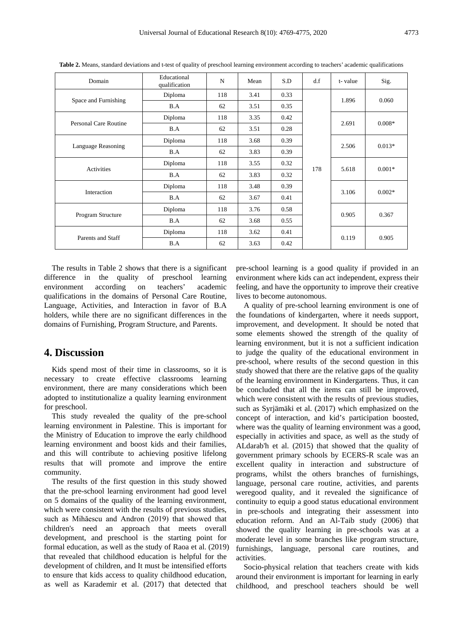| Domain                       | Educational<br>qualification | N   | Mean | S.D  | d.f   | t-value  | Sig.     |
|------------------------------|------------------------------|-----|------|------|-------|----------|----------|
| Space and Furnishing         | Diploma                      | 118 | 3.41 | 0.33 |       | 1.896    | 0.060    |
|                              | B.A                          | 62  | 3.51 | 0.35 |       |          |          |
| <b>Personal Care Routine</b> | Diploma                      | 118 | 3.35 | 0.42 |       | 2.691    | $0.008*$ |
|                              | B.A                          | 62  | 3.51 | 0.28 |       |          |          |
| Language Reasoning           | Diploma                      | 118 | 3.68 | 0.39 |       | 2.506    | $0.013*$ |
|                              | B.A                          | 62  | 3.83 | 0.39 |       |          |          |
| Activities                   | Diploma                      | 118 | 3.55 | 0.32 | 178   | 5.618    | $0.001*$ |
|                              | B.A                          | 62  | 3.83 | 0.32 |       |          |          |
| Interaction                  | Diploma                      | 118 | 3.48 | 0.39 | 3.106 | $0.002*$ |          |
|                              | B.A                          | 62  | 3.67 | 0.41 |       |          |          |
| Program Structure            | Diploma                      | 118 | 3.76 | 0.58 |       | 0.905    | 0.367    |
|                              | B.A                          | 62  | 3.68 | 0.55 |       |          |          |
| Parents and Staff            | Diploma                      | 118 | 3.62 | 0.41 |       | 0.119    | 0.905    |
|                              | B.A                          | 62  | 3.63 | 0.42 |       |          |          |

**Table 2.** Means, standard deviations and t-test of quality of preschool learning environment according to teachers' academic qualifications

The results in Table 2 shows that there is a significant difference in the quality of preschool learning environment according on teachers' academic qualifications in the domains of Personal Care Routine, Language, Activities, and Interaction in favor of B.A holders, while there are no significant differences in the domains of Furnishing, Program Structure, and Parents.

## **4. Discussion**

Kids spend most of their time in classrooms, so it is necessary to create effective classrooms learning environment, there are many considerations which been adopted to institutionalize a quality learning environment for preschool.

This study revealed the quality of the pre-school learning environment in Palestine. This is important for the Ministry of Education to improve the early childhood learning environment and boost kids and their families, and this will contribute to achieving positive lifelong results that will promote and improve the entire community.

The results of the first question in this study showed that the pre-school learning environment had good level on 5 domains of the quality of the learning environment, which were consistent with the results of previous studies, such as Mihăescu and Andron (2019) that showed that children's need an approach that meets overall development, and preschool is the starting point for formal education, as well as the study of Raoa et al. (2019) that revealed that childhood education is helpful for the development of children, and It must be intensified efforts to ensure that kids access to quality childhood education, as well as Karademir et al. (2017) that detected that

pre-school learning is a good quality if provided in an environment where kids can act independent, express their feeling, and have the opportunity to improve their creative lives to become autonomous.

A quality of pre-school learning environment is one of the foundations of kindergarten, where it needs support, improvement, and development. It should be noted that some elements showed the strength of the quality of learning environment, but it is not a sufficient indication to judge the quality of the educational environment in pre-school, where results of the second question in this study showed that there are the relative gaps of the quality of the learning environment in Kindergartens. Thus, it can be concluded that all the items can still be improved, which were consistent with the results of previous studies, such as Syrjämäki et al. (2017) which emphasized on the concept of interaction, and kid's participation boosted, where was the quality of learning environment was a good, especially in activities and space, as well as the study of ALdarab'h et al. (2015) that showed that the quality of government primary schools by ECERS-R scale was an excellent quality in interaction and substructure of programs, whilst the others branches of furnishings, language, personal care routine, activities, and parents weregood quality, and it revealed the significance of continuity to equip a good status educational environment in pre-schools and integrating their assessment into education reform. And an Al-Taib study (2006) that showed the quality learning in pre-schools was at a moderate level in some branches like program structure, furnishings, language, personal care routines, and activities.

Socio-physical relation that teachers create with kids around their environment is important for learning in early childhood, and preschool teachers should be well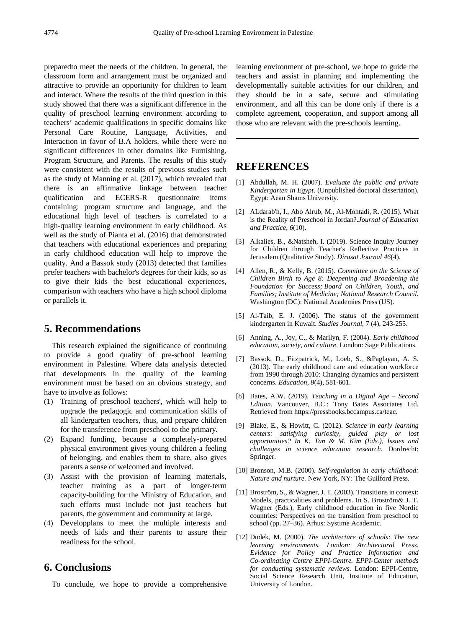preparedto meet the needs of the children. In general, the classroom form and arrangement must be organized and attractive to provide an opportunity for children to learn and interact. Where the results of the third question in this study showed that there was a significant difference in the quality of preschool learning environment according to teachers' academic qualifications in specific domains like Personal Care Routine, Language, Activities, and Interaction in favor of B.A holders, while there were no significant differences in other domains like Furnishing, Program Structure, and Parents. The results of this study were consistent with the results of previous studies such as the study of Manning et al. (2017), which revealed that there is an affirmative linkage between teacher qualification and ECERS-R questionnaire items containing: program structure and language, and the educational high level of teachers is correlated to a high-quality learning environment in early childhood. As well as the study of Pianta et al. (2016) that demonstrated that teachers with educational experiences and preparing in early childhood education will help to improve the quality. And a Bassok study (2013) detected that families prefer teachers with bachelor's degrees for their kids, so as to give their kids the best educational experiences, comparison with teachers who have a high school diploma or parallels it.

# **5. Recommendations**

This research explained the significance of continuing to provide a good quality of pre-school learning environment in Palestine. Where data analysis detected that developments in the quality of the learning environment must be based on an obvious strategy, and have to involve as follows:

- (1) Training of preschool teachers', which will help to upgrade the pedagogic and communication skills of all kindergarten teachers, thus, and prepare children for the transference from preschool to the primary.
- (2) Expand funding, because a completely-prepared physical environment gives young children a feeling of belonging, and enables them to share, also gives parents a sense of welcomed and involved.
- (3) Assist with the provision of learning materials, teacher training as a part of longer-term capacity-building for the Ministry of Education, and such efforts must include not just teachers but parents, the government and community at large.
- (4) Developplans to meet the multiple interests and needs of kids and their parents to assure their readiness for the school.

# **6. Conclusions**

To conclude, we hope to provide a comprehensive

learning environment of pre-school, we hope to guide the teachers and assist in planning and implementing the developmentally suitable activities for our children, and they should be in a safe, secure and stimulating environment, and all this can be done only if there is a complete agreement, cooperation, and support among all those who are relevant with the pre-schools learning.

## **REFERENCES**

- [1] Abdullah, M. H. (2007). *Evaluate the public and private Kindergarten in Egypt*. (Unpublished doctoral dissertation). Egypt: Aean Shams University.
- [2] ALdarab'h, I., Abo Alrub, M., Al-Mohtadi, R. (2015). What is the Reality of Preschool in Jordan?.*Journal of Education and Practice*, *6*(10).
- [3] Alkalies, B., &Natsheh, I. (2019). Science Inquiry Journey for Children through Teacher's Reflective Practices in Jerusalem (Qualitative Study). *Dirasat Journal 46*(4).
- [4] Allen, R., & Kelly, B. (2015). *Committee on the Science of Children Birth to Age 8: Deepening and Broadening the Foundation for Success; Board on Children, Youth, and Families; Institute of Medicine; National Research Council.* Washington (DC): National Academies Press (US).
- [5] Al-Taib, E. J. (2006). The status of the government kindergarten in Kuwait. *Studies Journal*, 7 (4), 243-255.
- [6] Anning, A., Joy, C., & Marilyn, F. (2004). *Early childhood education, society, and culture*. London: Sage Publications.
- [7] Bassok, D., Fitzpatrick, M., Loeb, S., &Paglayan, A. S. (2013). The early childhood care and education workforce from 1990 through 2010: Changing dynamics and persistent concerns. *Education*, *8*(4), 581-601.
- [8] Bates, A.W. (2019). *Teaching in a Digital Age – Second Edition*. Vancouver, B.C.: Tony Bates Associates Ltd. Retrieved from [https://pressbooks.bccampus.ca/teac.](https://pressbooks.bccampus.ca/teac)
- [9] Blake, E., & Howitt, C. (2012). *Science in early learning centers: satisfying curiosity, guided play or lost opportunities? In K. Tan & M. Kim (Eds.), Issues and challenges in science education research.* Dordrecht: Springer.
- [10] Bronson, M.B. (2000). *Self-regulation in early childhood: Nature and nurture.* New York, NY: The Guilford Press.
- [11] Broström, S., & Wagner, J. T. (2003). Transitions in context: Models, practicalities and problems. In S. Broström& J. T. Wagner (Eds.), Early childhood education in five Nordic countries: Perspectives on the transition from preschool to school (pp. 27–36). Arhus: Systime Academic.
- [12] Dudek, M. (2000). *The architecture of schools: The new learning environments. London: Architectural Press. Evidence for Policy and Practice Information and Co-ordinating Centre EPPI-Centre. EPPI-Center methods for conducting systematic reviews.* London: EPPI-Centre, Social Science Research Unit, Institute of Education, University of London.